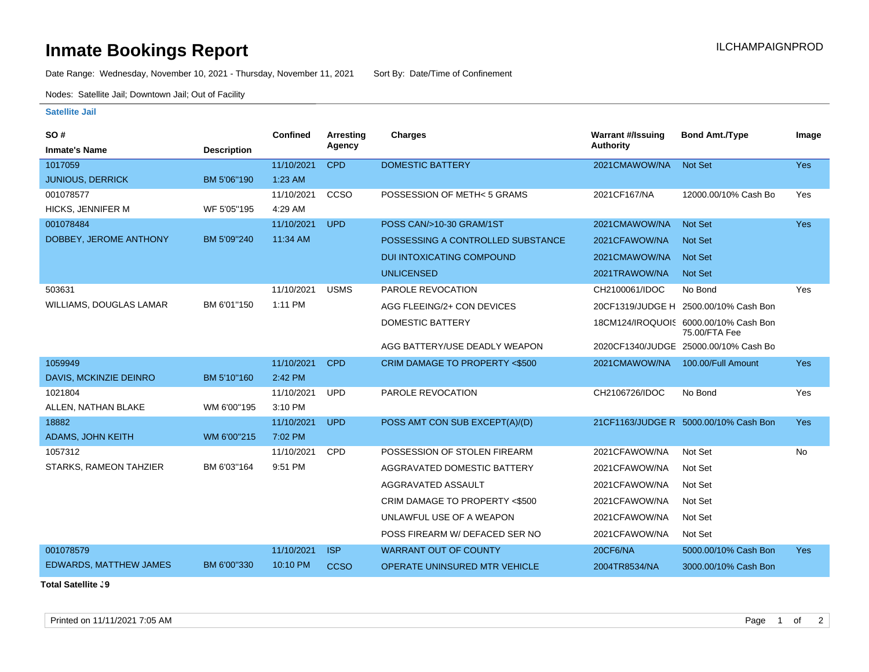## **Inmate Bookings Report International Contract Contract Contract Contract Contract Contract Contract Contract Contract Contract Contract Contract Contract Contract Contract Contract Contract Contract Contract Contract Co**

Date Range: Wednesday, November 10, 2021 - Thursday, November 11, 2021 Sort By: Date/Time of Confinement

Nodes: Satellite Jail; Downtown Jail; Out of Facility

## **Satellite Jail**

| SO#                           |                    | <b>Confined</b> | Arresting   | <b>Charges</b>                       | <b>Warrant #/Issuing</b> | <b>Bond Amt./Type</b>                                  | Image      |
|-------------------------------|--------------------|-----------------|-------------|--------------------------------------|--------------------------|--------------------------------------------------------|------------|
| <b>Inmate's Name</b>          | <b>Description</b> |                 | Agency      |                                      | <b>Authority</b>         |                                                        |            |
| 1017059                       |                    | 11/10/2021      | <b>CPD</b>  | <b>DOMESTIC BATTERY</b>              | 2021CMAWOW/NA            | <b>Not Set</b>                                         | <b>Yes</b> |
| <b>JUNIOUS, DERRICK</b>       | BM 5'06"190        | 1:23 AM         |             |                                      |                          |                                                        |            |
| 001078577                     |                    | 11/10/2021      | CCSO        | POSSESSION OF METH< 5 GRAMS          | 2021CF167/NA             | 12000.00/10% Cash Bo                                   | Yes        |
| HICKS, JENNIFER M             | WF 5'05"195        | 4:29 AM         |             |                                      |                          |                                                        |            |
| 001078484                     |                    | 11/10/2021      | <b>UPD</b>  | POSS CAN/>10-30 GRAM/1ST             | 2021CMAWOW/NA            | <b>Not Set</b>                                         | <b>Yes</b> |
| DOBBEY, JEROME ANTHONY        | BM 5'09"240        | 11:34 AM        |             | POSSESSING A CONTROLLED SUBSTANCE    | 2021CFAWOW/NA            | <b>Not Set</b>                                         |            |
|                               |                    |                 |             | <b>DUI INTOXICATING COMPOUND</b>     | 2021CMAWOW/NA            | <b>Not Set</b>                                         |            |
|                               |                    |                 |             | <b>UNLICENSED</b>                    | 2021TRAWOW/NA            | <b>Not Set</b>                                         |            |
| 503631                        |                    | 11/10/2021      | <b>USMS</b> | PAROLE REVOCATION                    | CH2100061/IDOC           | No Bond                                                | Yes        |
| WILLIAMS, DOUGLAS LAMAR       | BM 6'01"150        | 1:11 PM         |             | AGG FLEEING/2+ CON DEVICES           |                          | 20CF1319/JUDGE H 2500.00/10% Cash Bon                  |            |
|                               |                    |                 |             | <b>DOMESTIC BATTERY</b>              |                          | 18CM124/IROQUOIS 6000.00/10% Cash Bon<br>75.00/FTA Fee |            |
|                               |                    |                 |             | AGG BATTERY/USE DEADLY WEAPON        |                          | 2020CF1340/JUDGE 25000.00/10% Cash Bo                  |            |
| 1059949                       |                    | 11/10/2021      | <b>CPD</b>  | CRIM DAMAGE TO PROPERTY <\$500       | 2021CMAWOW/NA            | 100.00/Full Amount                                     | <b>Yes</b> |
| DAVIS, MCKINZIE DEINRO        | BM 5'10"160        | 2:42 PM         |             |                                      |                          |                                                        |            |
| 1021804                       |                    | 11/10/2021      | <b>UPD</b>  | PAROLE REVOCATION                    | CH2106726/IDOC           | No Bond                                                | Yes        |
| ALLEN, NATHAN BLAKE           | WM 6'00"195        | 3:10 PM         |             |                                      |                          |                                                        |            |
| 18882                         |                    | 11/10/2021      | <b>UPD</b>  | POSS AMT CON SUB EXCEPT(A)/(D)       |                          | 21CF1163/JUDGE R 5000.00/10% Cash Bon                  | Yes        |
| ADAMS, JOHN KEITH             | WM 6'00"215        | 7:02 PM         |             |                                      |                          |                                                        |            |
| 1057312                       |                    | 11/10/2021      | <b>CPD</b>  | POSSESSION OF STOLEN FIREARM         | 2021CFAWOW/NA            | Not Set                                                | <b>No</b>  |
| STARKS, RAMEON TAHZIER        | BM 6'03"164        | 9:51 PM         |             | AGGRAVATED DOMESTIC BATTERY          | 2021CFAWOW/NA            | Not Set                                                |            |
|                               |                    |                 |             | AGGRAVATED ASSAULT                   | 2021CFAWOW/NA            | Not Set                                                |            |
|                               |                    |                 |             | CRIM DAMAGE TO PROPERTY <\$500       | 2021CFAWOW/NA            | Not Set                                                |            |
|                               |                    |                 |             | UNLAWFUL USE OF A WEAPON             | 2021CFAWOW/NA            | Not Set                                                |            |
|                               |                    |                 |             | POSS FIREARM W/ DEFACED SER NO       | 2021CFAWOW/NA            | Not Set                                                |            |
| 001078579                     |                    | 11/10/2021      | <b>ISP</b>  | <b>WARRANT OUT OF COUNTY</b>         | 20CF6/NA                 | 5000.00/10% Cash Bon                                   | <b>Yes</b> |
| <b>EDWARDS, MATTHEW JAMES</b> | BM 6'00"330        | 10:10 PM        | <b>CCSO</b> | <b>OPERATE UNINSURED MTR VEHICLE</b> | 2004TR8534/NA            | 3000.00/10% Cash Bon                                   |            |

**Total Satellite J9**